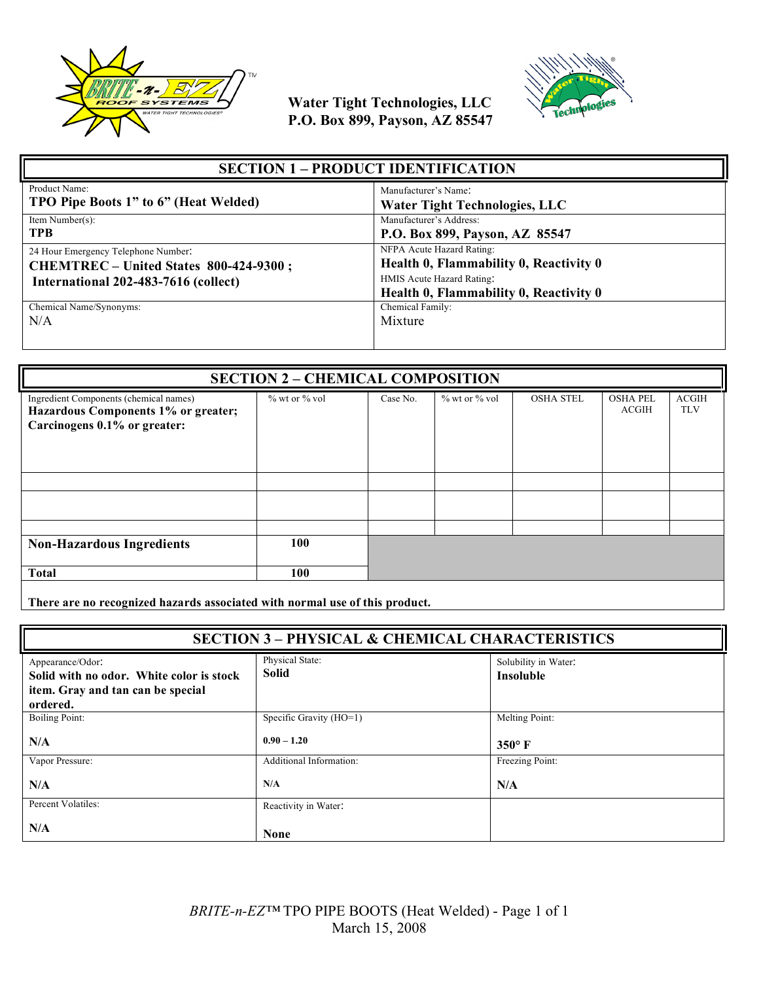



| <b>SECTION 1 – PRODUCT IDENTIFICATION</b>                                                                             |                                                                                                                                            |  |
|-----------------------------------------------------------------------------------------------------------------------|--------------------------------------------------------------------------------------------------------------------------------------------|--|
| Product Name:                                                                                                         | Manufacturer's Name:                                                                                                                       |  |
| TPO Pipe Boots 1" to 6" (Heat Welded)                                                                                 | <b>Water Tight Technologies, LLC</b>                                                                                                       |  |
| Item Number(s):                                                                                                       | Manufacturer's Address:                                                                                                                    |  |
| <b>TPB</b>                                                                                                            | P.O. Box 899, Payson, AZ 85547                                                                                                             |  |
| 24 Hour Emergency Telephone Number:<br>CHEMTREC - United States 800-424-9300;<br>International 202-483-7616 (collect) | NFPA Acute Hazard Rating:<br>Health 0, Flammability 0, Reactivity 0<br>HMIS Acute Hazard Rating:<br>Health 0, Flammability 0, Reactivity 0 |  |
| Chemical Name/Synonyms:                                                                                               | Chemical Family:                                                                                                                           |  |
| N/A                                                                                                                   | Mixture                                                                                                                                    |  |

| <b>SECTION 2 - CHEMICAL COMPOSITION</b>                                                                       |                     |          |                     |                  |                                 |                            |
|---------------------------------------------------------------------------------------------------------------|---------------------|----------|---------------------|------------------|---------------------------------|----------------------------|
| Ingredient Components (chemical names)<br>Hazardous Components 1% or greater;<br>Carcinogens 0.1% or greater: | $\%$ wt or $\%$ vol | Case No. | $\%$ wt or $\%$ vol | <b>OSHA STEL</b> | <b>OSHA PEL</b><br><b>ACGIH</b> | <b>ACGIH</b><br><b>TLV</b> |
|                                                                                                               |                     |          |                     |                  |                                 |                            |
|                                                                                                               |                     |          |                     |                  |                                 |                            |
|                                                                                                               |                     |          |                     |                  |                                 |                            |
| <b>Non-Hazardous Ingredients</b>                                                                              | 100                 |          |                     |                  |                                 |                            |
| <b>Total</b>                                                                                                  | 100                 |          |                     |                  |                                 |                            |
|                                                                                                               |                     |          |                     |                  |                                 |                            |

**There are no recognized hazards associated with normal use of this product.**

| <b>SECTION 3 - PHYSICAL &amp; CHEMICAL CHARACTERISTICS</b>                                                    |                                 |                                          |
|---------------------------------------------------------------------------------------------------------------|---------------------------------|------------------------------------------|
| Appearance/Odor:<br>Solid with no odor. White color is stock<br>item. Gray and tan can be special<br>ordered. | Physical State:<br><b>Solid</b> | Solubility in Water:<br><b>Insoluble</b> |
| Boiling Point:                                                                                                | Specific Gravity (HO=1)         | Melting Point:                           |
| N/A                                                                                                           | $0.90 - 1.20$                   | $350^\circ$ F                            |
| Vapor Pressure:                                                                                               | Additional Information:         | Freezing Point:                          |
| N/A                                                                                                           | N/A                             | N/A                                      |
| Percent Volatiles:                                                                                            | Reactivity in Water:            |                                          |
| N/A                                                                                                           | <b>None</b>                     |                                          |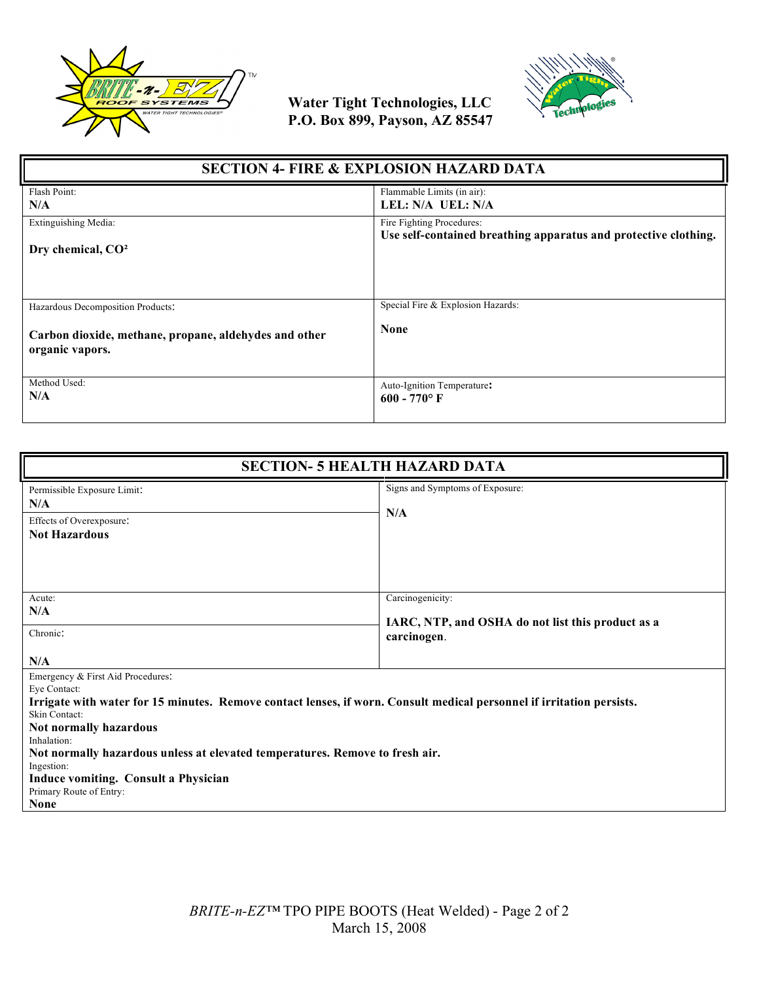



| <b>SECTION 4- FIRE &amp; EXPLOSION HAZARD DATA</b>                                                            |                                                                 |  |
|---------------------------------------------------------------------------------------------------------------|-----------------------------------------------------------------|--|
| Flash Point:                                                                                                  | Flammable Limits (in air):                                      |  |
| N/A                                                                                                           | LEL: N/A UEL: N/A                                               |  |
| Extinguishing Media:                                                                                          | Fire Fighting Procedures:                                       |  |
| Dry chemical, CO <sup>2</sup>                                                                                 | Use self-contained breathing apparatus and protective clothing. |  |
| Hazardous Decomposition Products:<br>Carbon dioxide, methane, propane, aldehydes and other<br>organic vapors. | Special Fire & Explosion Hazards:<br><b>None</b>                |  |
| Method Used:                                                                                                  | Auto-Ignition Temperature:                                      |  |
| N/A                                                                                                           | $600 - 770$ °F                                                  |  |

| <b>SECTION- 5 HEALTH HAZARD DATA</b>                                                                                                                                                                                                                                                                                                                                                                                        |                                                                                      |  |
|-----------------------------------------------------------------------------------------------------------------------------------------------------------------------------------------------------------------------------------------------------------------------------------------------------------------------------------------------------------------------------------------------------------------------------|--------------------------------------------------------------------------------------|--|
| Permissible Exposure Limit:<br>N/A<br>Effects of Overexposure:<br><b>Not Hazardous</b>                                                                                                                                                                                                                                                                                                                                      | Signs and Symptoms of Exposure:<br>N/A                                               |  |
| Acute:<br>N/A<br>Chronic:<br>N/A                                                                                                                                                                                                                                                                                                                                                                                            | Carcinogenicity:<br>IARC, NTP, and OSHA do not list this product as a<br>carcinogen. |  |
| Emergency & First Aid Procedures:<br>Eye Contact:<br>Irrigate with water for 15 minutes. Remove contact lenses, if worn. Consult medical personnel if irritation persists.<br>Skin Contact:<br>Not normally hazardous<br>Inhalation:<br>Not normally hazardous unless at elevated temperatures. Remove to fresh air.<br>Ingestion:<br><b>Induce vomiting. Consult a Physician</b><br>Primary Route of Entry:<br><b>None</b> |                                                                                      |  |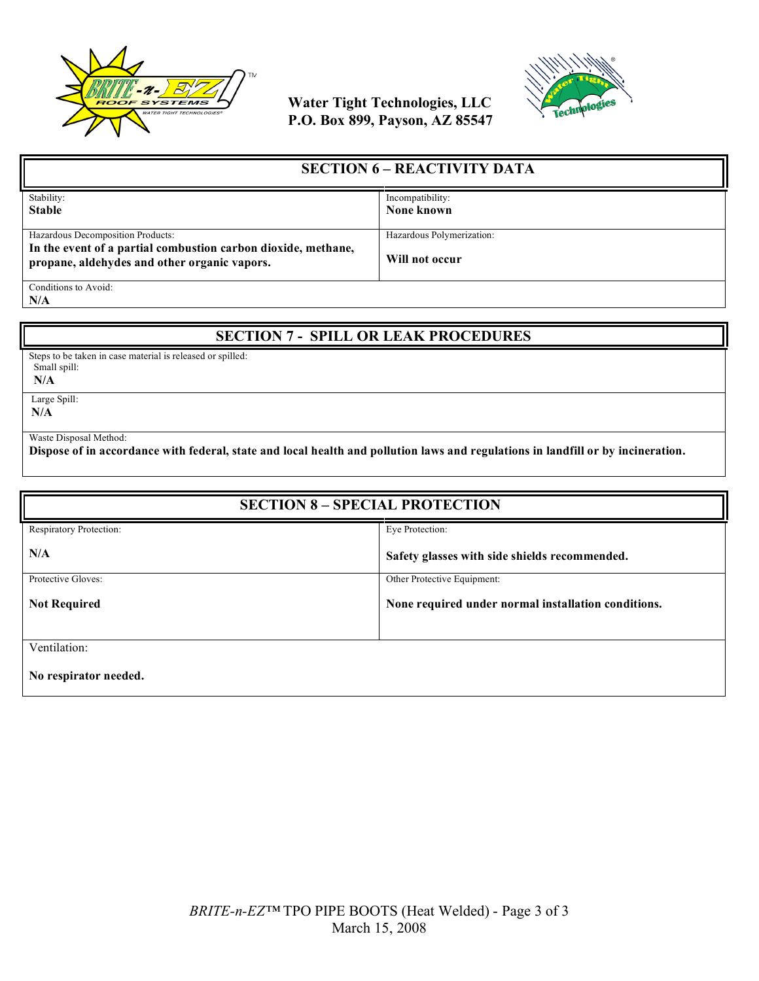



| <b>SECTION 6 – REACTIVITY DATA</b>                            |                           |
|---------------------------------------------------------------|---------------------------|
| Stability:                                                    | Incompatibility:          |
| <b>Stable</b>                                                 | None known                |
|                                                               |                           |
| Hazardous Decomposition Products:                             | Hazardous Polymerization: |
| In the event of a partial combustion carbon dioxide, methane, |                           |
| propane, aldehydes and other organic vapors.                  | Will not occur            |
|                                                               |                           |
| Conditions to Avoid:                                          |                           |

**N/A**

### **SECTION 7 - SPILL OR LEAK PROCEDURES**

Steps to be taken in case material is released or spilled: Small spill:

 **N/A**

Large Spill:

**N/A**

Waste Disposal Method:

**Dispose of in accordance with federal, state and local health and pollution laws and regulations in landfill or by incineration.**

| <b>SECTION 8 - SPECIAL PROTECTION</b> |                                                     |  |
|---------------------------------------|-----------------------------------------------------|--|
| Respiratory Protection:               | Eye Protection:                                     |  |
| N/A                                   | Safety glasses with side shields recommended.       |  |
| Protective Gloves:                    | Other Protective Equipment:                         |  |
| <b>Not Required</b>                   | None required under normal installation conditions. |  |
|                                       |                                                     |  |
| Ventilation:                          |                                                     |  |
| No respirator needed.                 |                                                     |  |